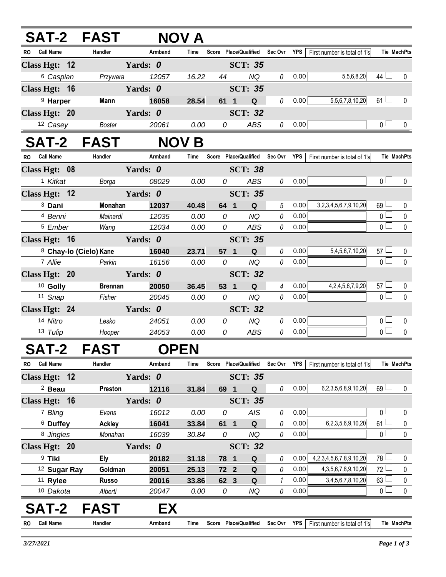| SAT-2 FAST                    |                            |             | <b>NOV A</b> |                 |                       |                |          |                                   |                    |             |
|-------------------------------|----------------------------|-------------|--------------|-----------------|-----------------------|----------------|----------|-----------------------------------|--------------------|-------------|
| RO Call Name                  | Handler                    | Armband     | Time         |                 | Score Place/Qualified | Sec Ovr YPS    |          | First number is total of 1's      | <b>Tie MachPts</b> |             |
| Class Hgt: 12                 |                            | Yards: 0    |              |                 | <b>SCT: 35</b>        |                |          |                                   |                    |             |
| <sup>6</sup> Caspian          | Przywara                   | 12057       | 16.22        | 44              | <b>NQ</b>             | 0              | 0.00     | 5,5,6,8,20                        | 44 $\Box$          | 0           |
| Class Hgt: 16                 |                            | Yards: 0    |              |                 | <b>SCT: 35</b>        |                |          |                                   |                    |             |
| <sup>9</sup> Harper           | Mann                       | 16058       | 28.54        | 61 1            | ${\bf Q}$             | $\mathcal{O}$  | 0.00     | 5,5,6,7,8,10,20                   | $61 \Box$          | 0           |
| Class Hgt: 20                 |                            | Yards: 0    |              |                 | <b>SCT: 32</b>        |                |          |                                   |                    |             |
| 12 Casey                      | Boster                     | 20061       | 0.00         | $\overline{O}$  | ABS                   |                | $0$ 0.00 |                                   | 0 <sub>0</sub>     | 0           |
| SAT-2 FAST                    |                            |             | <b>NOV B</b> |                 |                       |                |          |                                   |                    |             |
| <b>Call Name</b><br><b>RO</b> | Handler                    | Armband     | Time         |                 | Score Place/Qualified | Sec Ovr YPS    |          | First number is total of 1's      | <b>Tie MachPts</b> |             |
| Class Hgt: 08                 |                            | Yards: 0    |              |                 | <b>SCT: 38</b>        |                |          |                                   |                    |             |
| <sup>1</sup> Kitkat           | Borga                      | 08029       | 0.00         | $\overline{O}$  | ABS                   | 0              | 0.00     |                                   | 0 <sub>l</sub>     | $\mathbf 0$ |
| Class Hgt: 12                 |                            | Yards: 0    |              |                 | <b>SCT: 35</b>        |                |          |                                   |                    |             |
| <sup>3</sup> Dani             | Monahan                    | 12037       | 40.48        | 64 1            | ${\bf Q}$             | 5              | 0.00     | 3,2,3,4,5,6,7,9,10,20             | $69$ $\Box$        | 0           |
| <sup>4</sup> Benni            | Mainardi                   | 12035       | 0.00         | 0               | <b>NQ</b>             | 0              | 0.00     |                                   | $\overline{0}$     | $\pmb{0}$   |
| <sup>5</sup> Ember            | Wang                       | 12034       | 0.00         | $\overline{O}$  | ABS                   | 0              | 0.00     |                                   | $\overline{0}$     | $\mathbf 0$ |
| Class Hgt: 16                 | <b>Example 18 Yards: 0</b> |             |              |                 | <b>SCT: 35</b>        |                |          |                                   |                    |             |
| 8 Chay-lo (Cielo) Kane        |                            | 16040       | 23.71        | 57 1            | $\mathbf Q$           | 0              | 0.00     | 5,4,5,6,7,10,20                   | $57 \Box$          | 0           |
| 7 Allie                       | Parkin                     | 16156       | 0.00         | 0               | <b>NQ</b>             | $\theta$       | 0.00     |                                   | $\overline{0}$     | $\mathbf 0$ |
| Class Hgt: 20                 |                            | Yards: 0    |              |                 | <b>SCT: 32</b>        |                |          |                                   |                    |             |
| <sup>10</sup> Golly           | <b>Brennan</b>             | 20050       | 36.45        | 53 1            | $\mathbf Q$           | $\overline{4}$ | 0.00     | 4,2,4,5,6,7,9,20                  | $57 \Box$          | $\mathbf 0$ |
| 11 Snap                       | Fisher                     | 20045       | 0.00         | $\overline{O}$  | <b>NQ</b>             | 0              | 0.00     |                                   | $\overline{0}$     | $\mathbf 0$ |
| Class Hgt: 24                 |                            | Yards: 0    |              |                 | <b>SCT: 32</b>        |                |          |                                   |                    |             |
| 14 Nitro                      | Lesko                      | 24051       | 0.00         | 0               | <b>NQ</b>             | $\theta$       | 0.00     |                                   | 0 <sub>0</sub>     | $\mathbf 0$ |
| 13 Tulip                      | Hooper                     | 24053       | 0.00         | 0               | ABS                   | 0              | 0.00     |                                   | $\overline{0}$     | $\mathbf 0$ |
| SAT-2                         | <b>FAST</b>                | <b>OPEN</b> |              |                 |                       |                |          |                                   |                    |             |
| RO Call Name                  | Handler                    | Armband     | Time         |                 | Score Place/Qualified | Sec Ovr YPS    |          | First number is total of 1's      | <b>Tie MachPts</b> |             |
| Class Hgt: 12                 |                            | Yards: 0    |              |                 | <b>SCT: 35</b>        |                |          |                                   |                    |             |
| $2$ Beau                      | Preston                    | 12116       | 31.84        | 69 1            | $\mathsf Q$           | 0              | 0.00     | 6,2,3,5,6,8,9,10,20               | $69$ $\Box$        | $\mathbf 0$ |
| Class Hgt: 16                 |                            | Yards: 0    |              |                 | <b>SCT: 35</b>        |                |          |                                   |                    |             |
| 7 Bling                       | Evans                      | 16012       | 0.00         | 0               | <b>AIS</b>            | 0              | 0.00     |                                   | 0 <sub>l</sub>     | $\mathbf 0$ |
| <sup>6</sup> Duffey           | Ackley                     | 16041       | 33.84        | 61 <sub>1</sub> | Q                     | 0              | 0.00     | 6,2,3,5,6,9,10,20                 | 61 <sup>L</sup>    | 0           |
| 8 Jingles                     | Monahan                    | 16039       | 30.84        | 0               | NQ                    | $\theta$       | 0.00     |                                   | $\overline{0}$     | $\mathbf 0$ |
| Class Hgt: 20                 |                            | Yards: 0    |              |                 | <b>SCT: 32</b>        |                |          |                                   |                    |             |
| <sup>9</sup> Tiki             | <b>Ely</b>                 | 20182       | 31.18        | 78 1            | Q                     | 0              | 0.00     | 4, 2, 3, 4, 5, 6, 7, 8, 9, 10, 20 | $78$ $\Box$        | 0           |
| <sup>12</sup> Sugar Ray       | Goldman                    | 20051       | 25.13        | 72 2            | Q                     | $\theta$       | 0.00     | 4, 3, 5, 6, 7, 8, 9, 10, 20       | $72$ $\Box$        | $\mathbf 0$ |

11 **Rylee Russo 20016 33.86 62 3 Q** *1* 0.00 3,4,5,6,7,8,10,20 63 0 10 *Dakota Alberti 20047 0.00 0 NQ 0* 0.00 0 0

## **SAT-2 FAST EX**

First number is total of 1's **RO Call Name Handler Armband Time Score Sec Ovr YPS Tie Place/Qualified MachPts**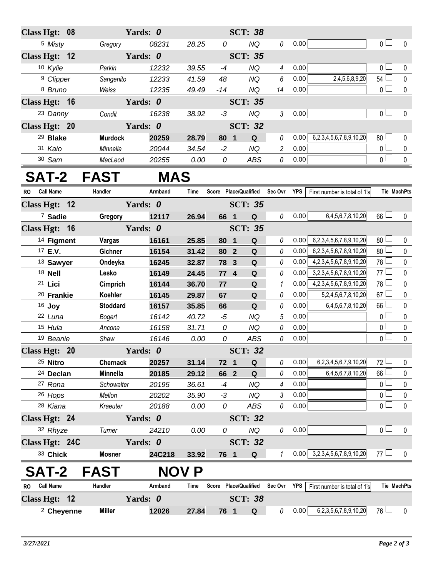| Class Hgt: 08                 |                    | Yards: 0       |               |           | <b>SCT: 38</b>                    |                |              |                                   |                                  |                |
|-------------------------------|--------------------|----------------|---------------|-----------|-----------------------------------|----------------|--------------|-----------------------------------|----------------------------------|----------------|
| <sup>5</sup> Misty            | Gregory            | 08231          | 28.25         | 0         | <b>NQ</b>                         | 0              | 0.00         |                                   | $\overline{0}$                   | $\mathbf 0$    |
| Class Hgt: 12                 |                    | Yards: 0       |               |           | <b>SCT: 35</b>                    |                |              |                                   |                                  |                |
| 10 Kylie                      | Parkin             | 12232          | 39.55         | $-4$      | <b>NQ</b>                         | 4              | 0.00         |                                   | $\overline{0}$                   | 0              |
| <sup>9</sup> Clipper          | Sangenito          | 12233          | 41.59         | 48        | <b>NQ</b>                         | 6              | 0.00         | 2,4,5,6,8,9,20                    | $54 \Box$                        | $\pmb{0}$      |
| 8 Bruno                       | Weiss              | 12235          | 49.49         | $-14$     | <b>NQ</b>                         | 14             | 0.00         |                                   | $\overline{0}$                   | $\pmb{0}$      |
| Class Hgt: 16                 |                    | Yards: 0       |               |           | <b>SCT: 35</b>                    |                |              |                                   |                                  |                |
| 23 Danny                      | Condit             | 16238          | 38.92         | $-3$      | <b>NQ</b>                         | $\mathfrak{Z}$ | 0.00         |                                   | $\overline{0}$                   | $\pmb{0}$      |
| Class Hgt: 20                 |                    | Yards: 0       |               |           | <b>SCT: 32</b>                    |                |              |                                   |                                  |                |
| <sup>29</sup> Blake           | <b>Murdock</b>     | 20259          | 28.79         | 80 1      | Q                                 | 0              | 0.00         | 6,2,3,4,5,6,7,8,9,10,20           | $80$ $\Box$                      | 0              |
| 31 Kaio                       | Minnella           | 20044          | 34.54         | $-2$      | <b>NQ</b>                         | $\overline{c}$ | 0.00         |                                   | $\overline{0}$                   | $\pmb{0}$      |
| 30 Sam                        | MacLeod            | 20255          | 0.00          | 0         | ABS                               | 0              | 0.00         |                                   | $\overline{0}$                   | $\mathbf 0$    |
| SAT-2 FAST                    |                    | <b>MAS</b>     |               |           |                                   |                |              |                                   |                                  |                |
| <b>Call Name</b><br><b>RO</b> | Handler            | Armband        | Time          |           | Score Place/Qualified Sec Ovr YPS |                |              | First number is total of 1's      | Tie MachPts                      |                |
| Class Hgt: 12                 |                    | Yards: 0       |               |           | <b>SCT: 35</b>                    |                |              |                                   |                                  |                |
| <sup>7</sup> Sadie            | Gregory            | 12117          | 26.94         | 66 1      | $\mathbf Q$                       | 0              | 0.00         | 6,4,5,6,7,8,10,20                 | $66$ $\Box$                      | $\mathbf 0$    |
| Class Hgt: 16                 |                    | Yards: 0       |               |           | <b>SCT: 35</b>                    |                |              |                                   |                                  |                |
| <sup>14</sup> Figment         | Vargas             | 16161          | 25.85         | 80        | $\mathbf Q$<br>$\blacksquare$     | 0              | 0.00         | 6,2,3,4,5,6,7,8,9,10,20           | $80$ $\Box$                      | $\mathbf 0$    |
| 17 E.V.                       | Gichner            | 16154          | 31.42         | 80 2      | Q                                 | 0              | 0.00         | 6,2,3,4,5,6,7,8,9,10,20           | 80 <sup>1</sup>                  | $\pmb{0}$      |
| 13 Sawyer                     | Ondeyka            | 16245          | 32.87         | 78 3      | Q                                 | 0              | 0.00         | 4, 2, 3, 4, 5, 6, 7, 8, 9, 10, 20 | $78$ $\Box$                      | $\pmb{0}$      |
| 18 Nell                       | Lesko              | 16149          | 24.45         | 774       | ${\bf Q}$                         | 0              | 0.00         | 3,2,3,4,5,6,7,8,9,10,20           | 77 <sup>°</sup>                  | $\pmb{0}$      |
| 21 Lici                       | Cimprich           | 16144          | 36.70         | 77        | Q                                 | $\mathbf{1}$   | 0.00         | 4, 2, 3, 4, 5, 6, 7, 8, 9, 10, 20 | 78 L                             | $\pmb{0}$      |
| <sup>20</sup> Frankie         | Koehler            | 16145          | 29.87         | 67        | Q                                 | 0              | 0.00         | 5,2,4,5,6,7,8,10,20               | 67                               | $\pmb{0}$      |
| $16$ Joy                      | <b>Stoddard</b>    | 16157          | 35.85         | 66        | $\mathbf Q$                       | 0              | 0.00         | 6,4,5,6,7,8,10,20                 | $66$ $\Box$                      | $\pmb{0}$      |
| 22 Luna                       | Bogert             | 16142          | 40.72         | $-5$      | <b>NQ</b>                         | 5              | 0.00         |                                   | $\overline{0}$                   | $\pmb{0}$      |
| 15 Hula                       | Ancona             | 16158          | 31.71         | 0         | <b>NQ</b>                         | 0              | 0.00         |                                   | $\overline{0}$                   | $\pmb{0}$      |
| 19 Beanie                     | Shaw               | 16146          | 0.00          | 0         | ABS                               | 0              | 0.00         |                                   | $\overline{0}$                   | $\pmb{0}$      |
| Class Hgt: 20                 |                    | Yards: 0       |               |           | <b>SCT: 32</b>                    |                |              |                                   |                                  |                |
| 25 Nitro                      | Chernack           | 20257          | 31.14         | 72 1      | Q                                 | 0              | 0.00         | 6,2,3,4,5,6,7,9,10,20             | $72 \Box$                        | 0              |
| <sup>24</sup> Declan          | Minnella           | 20185          | 29.12         | 66 2      | $\mathbf Q$                       | 0              | 0.00         | 6,4,5,6,7,8,10,20                 | $66\Box$                         | 0              |
| 27 Rona                       | Schowalter         | 20195          | 36.61         | $-4$      | <b>NQ</b>                         | 4              | 0.00         |                                   | $\overline{0}$<br>$\overline{0}$ | $\pmb{0}$      |
| 26 Hops<br>28 Kiana           | Mellon<br>Kraeuter | 20202<br>20188 | 35.90<br>0.00 | $-3$<br>0 | <b>NQ</b><br>ABS                  | 3<br>0         | 0.00<br>0.00 |                                   | $\overline{0}$ $\Box$            | 0<br>$\pmb{0}$ |
| Class Hgt: 24                 |                    | Yards: 0       |               |           | <b>SCT: 32</b>                    |                |              |                                   |                                  |                |
| 32 Rhyze                      | Turner             | 24210          | 0.00          | 0         | <b>NQ</b>                         | 0              | 0.00         |                                   | $\overline{0}$                   | $\mathbf 0$    |
| Class Hgt: 24C                |                    | Yards: 0       |               |           | <b>SCT: 32</b>                    |                |              |                                   |                                  |                |
| 33 Chick                      | <b>Mosner</b>      | 24C218         | 33.92         | 76 1      | Q                                 | $\mathbf{1}$   | 0.00         | 3,2,3,4,5,6,7,8,9,10,20           | 77 $\Box$                        | $\mathbf 0$    |
| <b>SAT-2</b>                  | <b>FAST</b>        |                | <b>NOV P</b>  |           |                                   |                |              |                                   |                                  |                |
| <b>Call Name</b><br><b>RO</b> | Handler            | Armband        | Time          |           | Score Place/Qualified             | Sec Ovr YPS    |              | First number is total of 1's      | Tie MachPts                      |                |
| Class Hgt: 12                 |                    | Yards: 0       |               |           | <b>SCT: 38</b>                    |                |              |                                   |                                  |                |
| <sup>2</sup> Cheyenne         | <b>Miller</b>      | 12026          | 27.84         | 76 1      | $\mathbf Q$                       | 0              | 0.00         | 6,2,3,5,6,7,8,9,10,20             | $76 \Box$                        | $\mathbf 0$    |